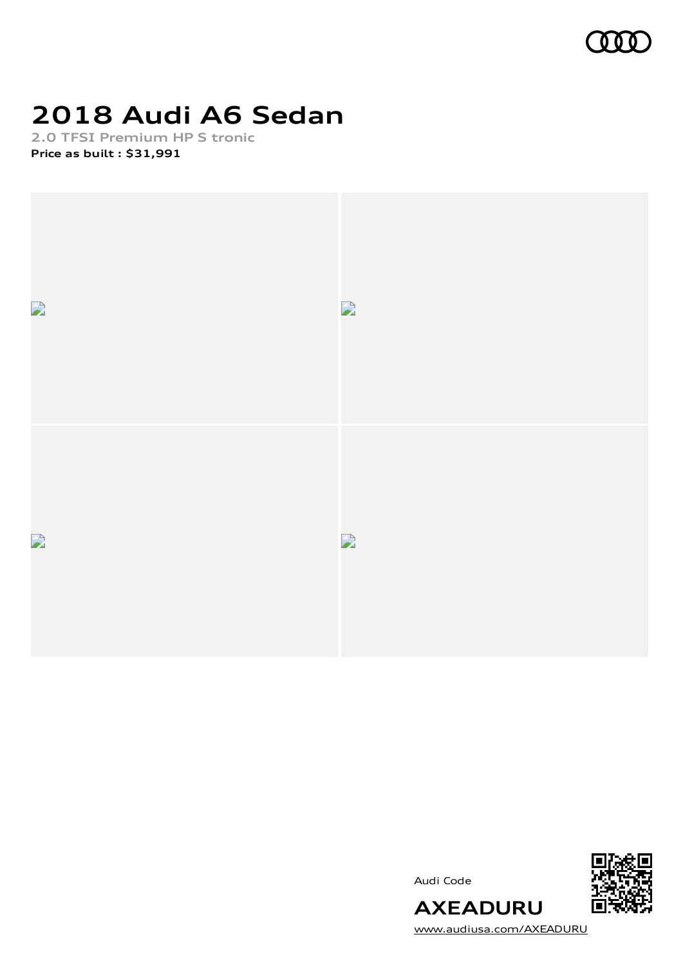

# **2018 Audi A6 Sedan**

**2.0 TFSI Premium HP S tronic Price as built [:](#page-11-0) \$31,991**







[www.audiusa.com/AXEADURU](https://www.audiusa.com/AXEADURU)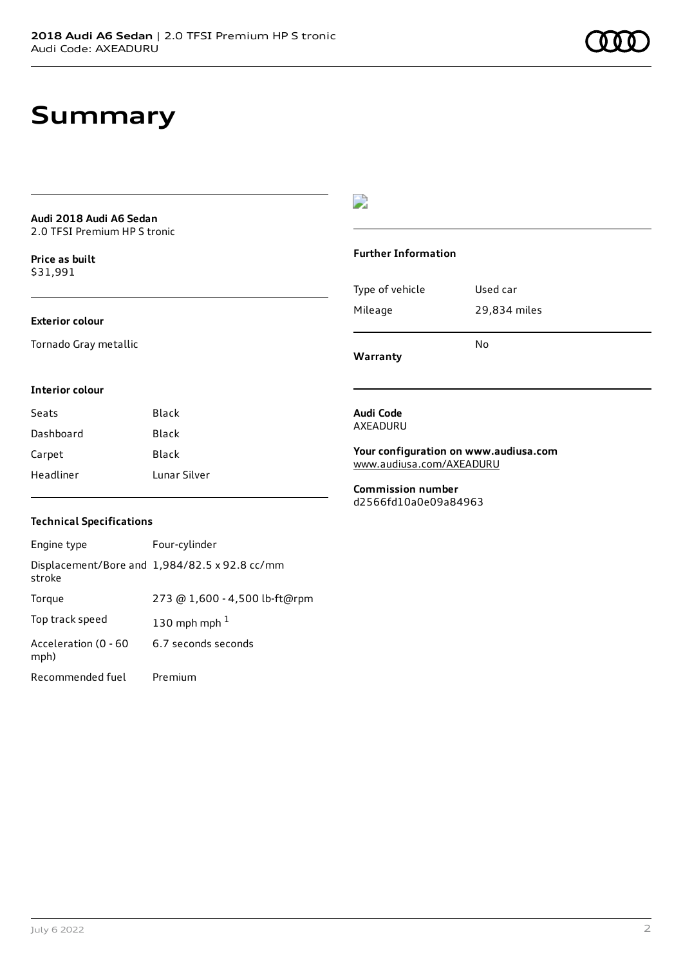### **Summary**

**Audi 2018 Audi A6 Sedan** 2.0 TFSI Premium HP S tronic

**Price as buil[t](#page-11-0)** \$31,991

#### **Exterior colour**

Tornado Gray metallic

### $\overline{\phantom{a}}$

#### **Further Information**

Type of vehicle Used car Mileage 29,834 miles No

**Warranty**

#### **Interior colour**

| Seats     | Black        |
|-----------|--------------|
| Dashboard | Black        |
| Carpet    | Black        |
| Headliner | Lunar Silver |

#### **Audi Code** AXEADURU

**Your configuration on www.audiusa.com** [www.audiusa.com/AXEADURU](https://www.audiusa.com/AXEADURU)

**Commission number** d2566fd10a0e09a84963

### **Technical Specifications**

| Engine type                  | Four-cylinder                                 |
|------------------------------|-----------------------------------------------|
| stroke                       | Displacement/Bore and 1,984/82.5 x 92.8 cc/mm |
| Torque                       | 273 @ 1,600 - 4,500 lb-ft@rpm                 |
| Top track speed              | 130 mph mph $1$                               |
| Acceleration (0 - 60<br>mph) | 6.7 seconds seconds                           |
| Recommended fuel             | Premium                                       |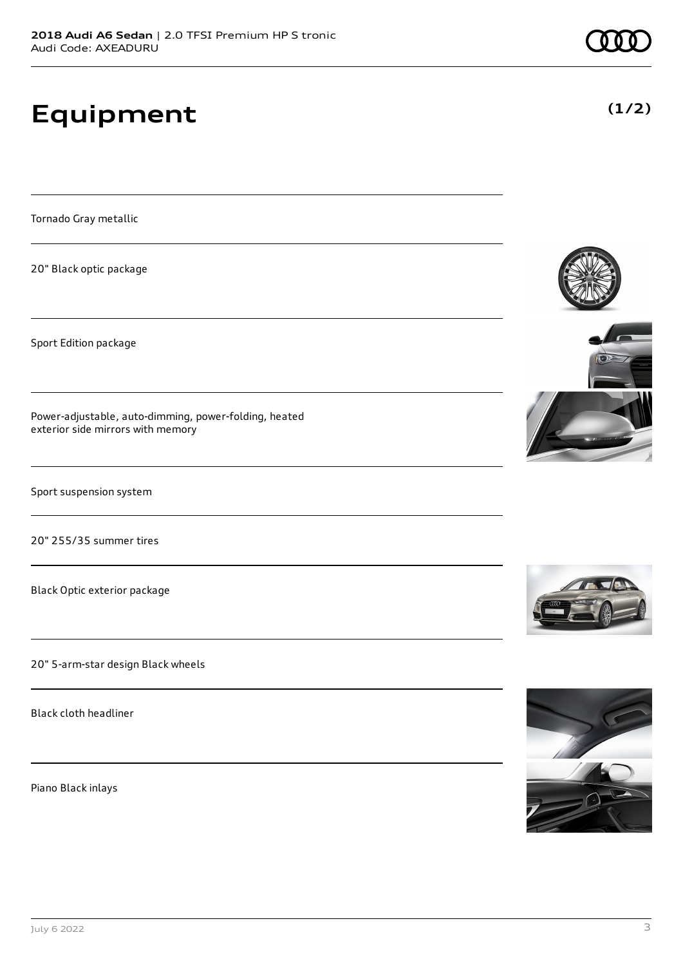# **Equipment**

Tornado Gray metallic

20" Black optic package

Sport Edition package

Power-adjustable, auto-dimming, power-folding, heated exterior side mirrors with memory

Sport suspension system

20" 255/35 summer tires

Black Optic exterior package

20" 5-arm-star design Black wheels

Black cloth headliner

Piano Black inlays







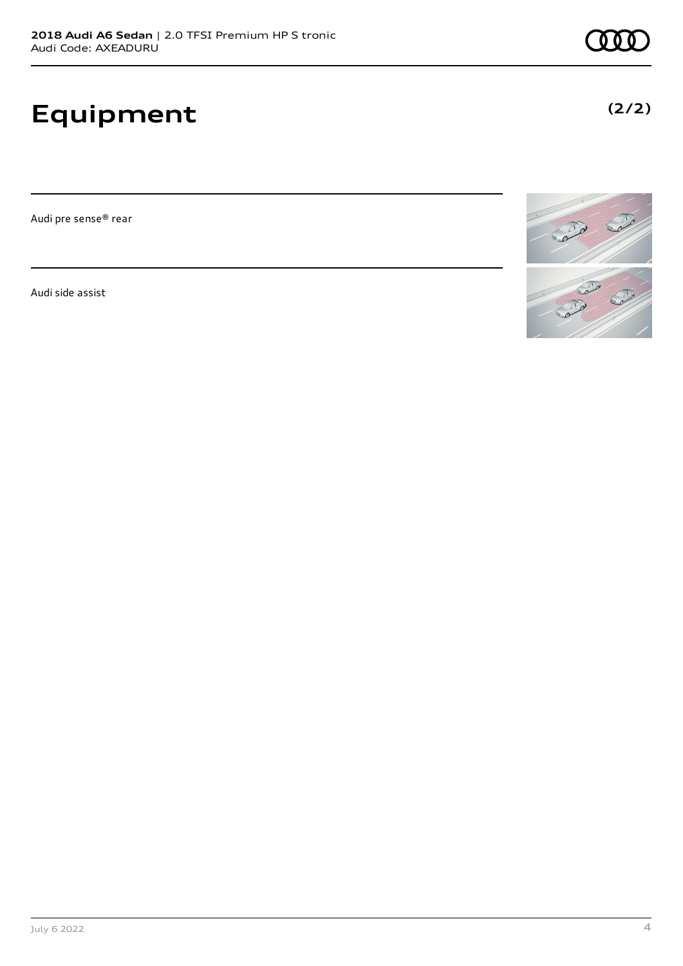# **Equipment**

Audi pre sense® rear

Audi side assist



### **(2/2)**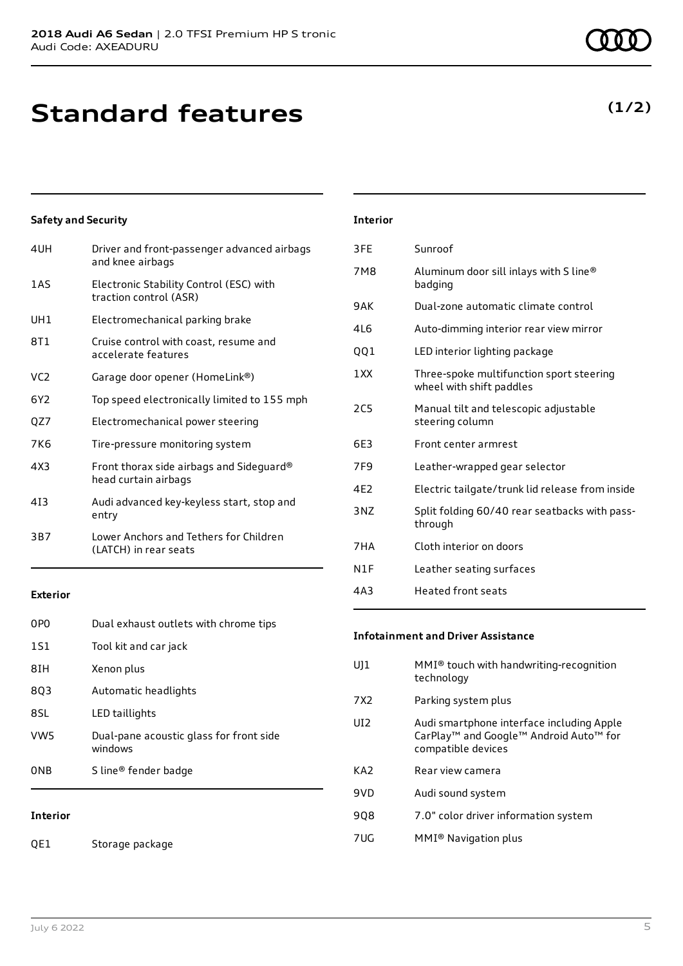## **Standard features**

|  | 0 O | ) () |  |
|--|-----|------|--|
|  |     |      |  |

**(1/2)**

### **Safety and Security**

| 4UH             | Driver and front-passenger advanced airbags<br>and knee airbags   |
|-----------------|-------------------------------------------------------------------|
| 1AS             | Electronic Stability Control (ESC) with<br>traction control (ASR) |
| UH1             | Electromechanical parking brake                                   |
| 8T1             | Cruise control with coast, resume and<br>accelerate features      |
| VC <sub>2</sub> | Garage door opener (HomeLink®)                                    |
| 6Y2             | Top speed electronically limited to 155 mph                       |
| QZ7             | Electromechanical power steering                                  |
| 7K6             | Tire-pressure monitoring system                                   |
| 4X3             | Front thorax side airbags and Sideguard®<br>head curtain airbags  |
| 413             | Audi advanced key-keyless start, stop and<br>entry                |
| 3B7             | Lower Anchors and Tethers for Children<br>(LATCH) in rear seats   |

| <b>Interior</b> |                                                                      |
|-----------------|----------------------------------------------------------------------|
| 3FF             | Sunroof                                                              |
| 7M8             | Aluminum door sill inlays with S line®<br>badging                    |
| 9 A K           | Dual-zone automatic climate control                                  |
| 4L6             | Auto-dimming interior rear view mirror                               |
| QQ1             | LED interior lighting package                                        |
| 1XX             | Three-spoke multifunction sport steering<br>wheel with shift paddles |
| 2C <sub>5</sub> | Manual tilt and telescopic adjustable<br>steering column             |
| 6F3             | Front center armrest                                                 |
| 7F <sub>9</sub> | Leather-wrapped gear selector                                        |
| 4E2             | Electric tailgate/trunk lid release from inside                      |
| 3NZ             | Split folding 60/40 rear seatbacks with pass-<br>through             |
| 7HA             | Cloth interior on doors                                              |
| N1F             | Leather seating surfaces                                             |
| 4A3             | Heated front seats                                                   |
|                 |                                                                      |

#### **Exterior**

| T.              |                                                    |
|-----------------|----------------------------------------------------|
| 0 <sub>NB</sub> | S line <sup>®</sup> fender badge                   |
| VW <sub>5</sub> | Dual-pane acoustic glass for front side<br>windows |
| 8SL             | LED taillights                                     |
| 8Q3             | Automatic headlights                               |
| 8IH             | Xenon plus                                         |
| 1S1             | Tool kit and car jack                              |
| 0P <sub>0</sub> | Dual exhaust outlets with chrome tips              |

#### **Interior**

QE1 Storage package

### **Infotainment and Driver Assistance**

| $MMI®$ touch with handwriting-recognition<br>technology                                                               |
|-----------------------------------------------------------------------------------------------------------------------|
| Parking system plus                                                                                                   |
| Audi smartphone interface including Apple<br>CarPlay <sup>™</sup> and Google™ Android Auto™ for<br>compatible devices |
| Rear view camera                                                                                                      |
| Audi sound system                                                                                                     |
| 7.0" color driver information system                                                                                  |
| MMI <sup>®</sup> Navigation plus                                                                                      |
|                                                                                                                       |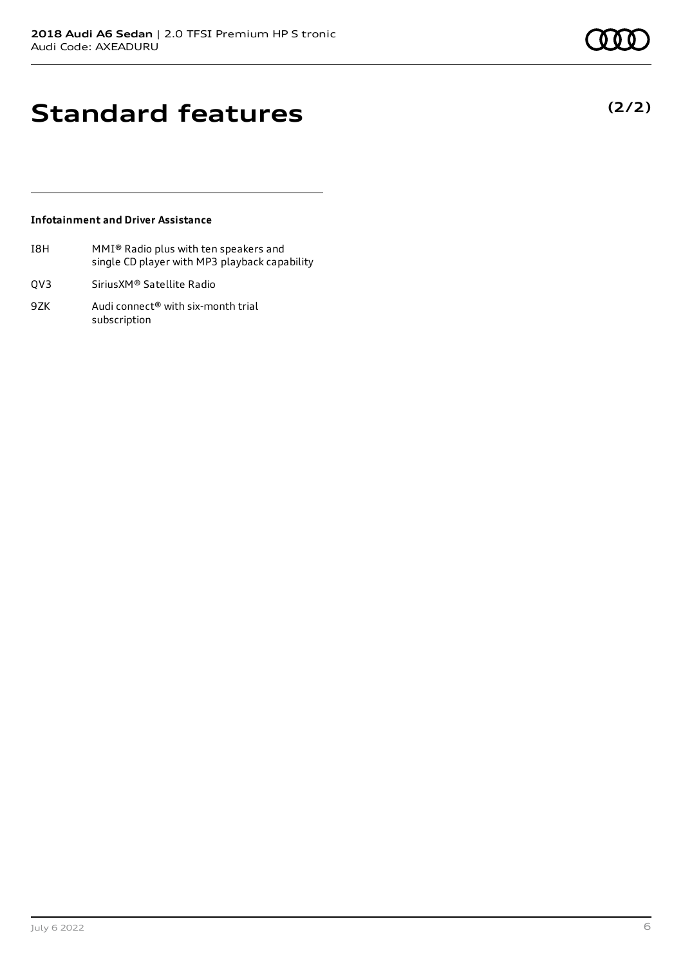**(2/2)**

### **Standard features**

### **Infotainment and Driver Assistance**

- I8H MMI® Radio plus with ten speakers and single CD player with MP3 playback capability
- QV3 SiriusXM® Satellite Radio
- 9ZK Audi connect<sup>®</sup> with six-month trial subscription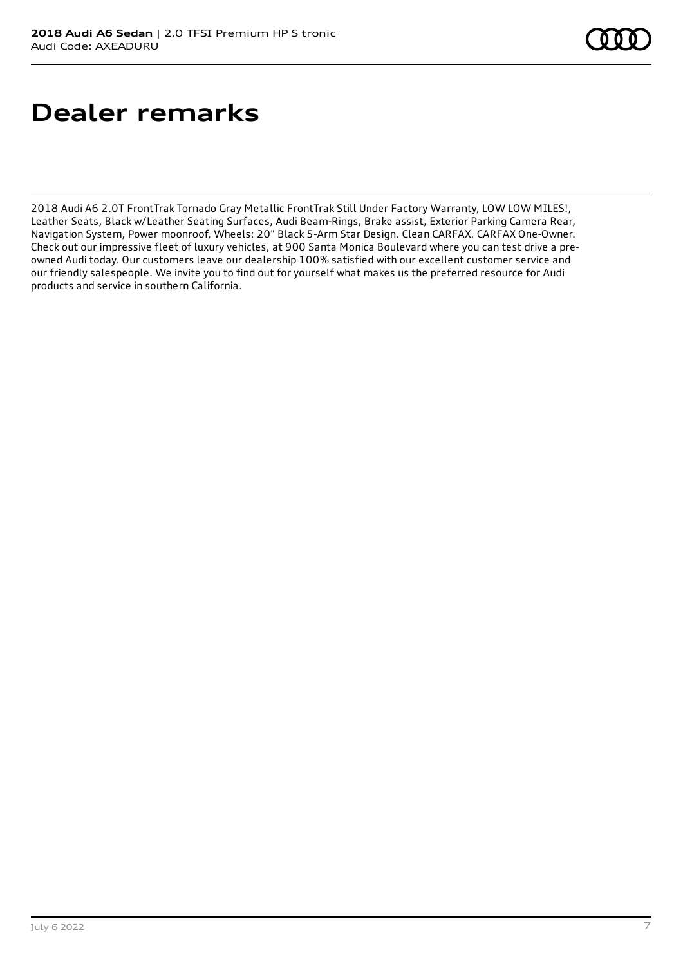## **Dealer remarks**

2018 Audi A6 2.0T FrontTrak Tornado Gray Metallic FrontTrak Still Under Factory Warranty, LOW LOW MILES!, Leather Seats, Black w/Leather Seating Surfaces, Audi Beam-Rings, Brake assist, Exterior Parking Camera Rear, Navigation System, Power moonroof, Wheels: 20" Black 5-Arm Star Design. Clean CARFAX. CARFAX One-Owner. Check out our impressive fleet of luxury vehicles, at 900 Santa Monica Boulevard where you can test drive a preowned Audi today. Our customers leave our dealership 100% satisfied with our excellent customer service and our friendly salespeople. We invite you to find out for yourself what makes us the preferred resource for Audi products and service in southern California.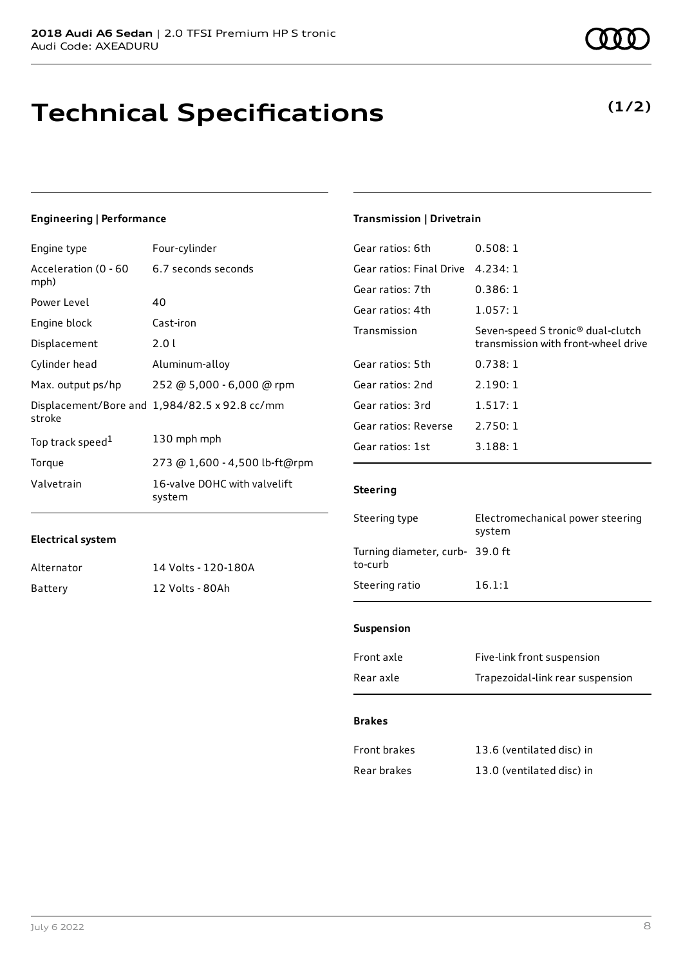## **Technical Specifications**

### **Engineering | Performance**

| Engine type                  | Four-cylinder                                 |
|------------------------------|-----------------------------------------------|
| Acceleration (0 - 60<br>mph) | 6.7 seconds seconds                           |
| Power Level                  | 40                                            |
| Engine block                 | Cast-iron                                     |
| Displacement                 | 2.01                                          |
| Cylinder head                | Aluminum-alloy                                |
| Max. output ps/hp            | 252 @ 5,000 - 6,000 @ rpm                     |
| stroke                       | Displacement/Bore and 1,984/82.5 x 92.8 cc/mm |
| Top track speed <sup>1</sup> | 130 mph mph                                   |
| Torque                       | 273 @ 1,600 - 4,500 lb-ft@rpm                 |
| Valvetrain                   | 16-valve DOHC with valvelift<br>system        |

### **Transmission | Drivetrain**

| Gear ratios: 6th         | 0.508:1                                                                              |
|--------------------------|--------------------------------------------------------------------------------------|
| Gear ratios: Final Drive | 4.234:1                                                                              |
| Gear ratios: 7th         | 0.386:1                                                                              |
| Gear ratios: 4th         | 1.057:1                                                                              |
| Transmission             | Seven-speed S tronic <sup>®</sup> dual-clutch<br>transmission with front-wheel drive |
| Gear ratios: 5th         | 0.738:1                                                                              |
| Gear ratios: 2nd         | 2.190:1                                                                              |
| Gear ratios: 3rd         | 1.517:1                                                                              |
| Gear ratios: Reverse     | 2.750:1                                                                              |
| Gear ratios: 1st         | 3.188:1                                                                              |

### **Steering**

| Electromechanical power steering<br>system |
|--------------------------------------------|
| Turning diameter, curb- 39.0 ft            |
| 16.1:1                                     |
|                                            |

#### **Suspension**

| Front axle | Five-link front suspension       |
|------------|----------------------------------|
| Rear axle  | Trapezoidal-link rear suspension |

#### **Brakes**

| <b>Front brakes</b> | 13.6 (ventilated disc) in |
|---------------------|---------------------------|
| Rear brakes         | 13.0 (ventilated disc) in |

| Alternator | 14 Volts - 120-180A |
|------------|---------------------|
| Battery    | 12 Volts - 80Ah     |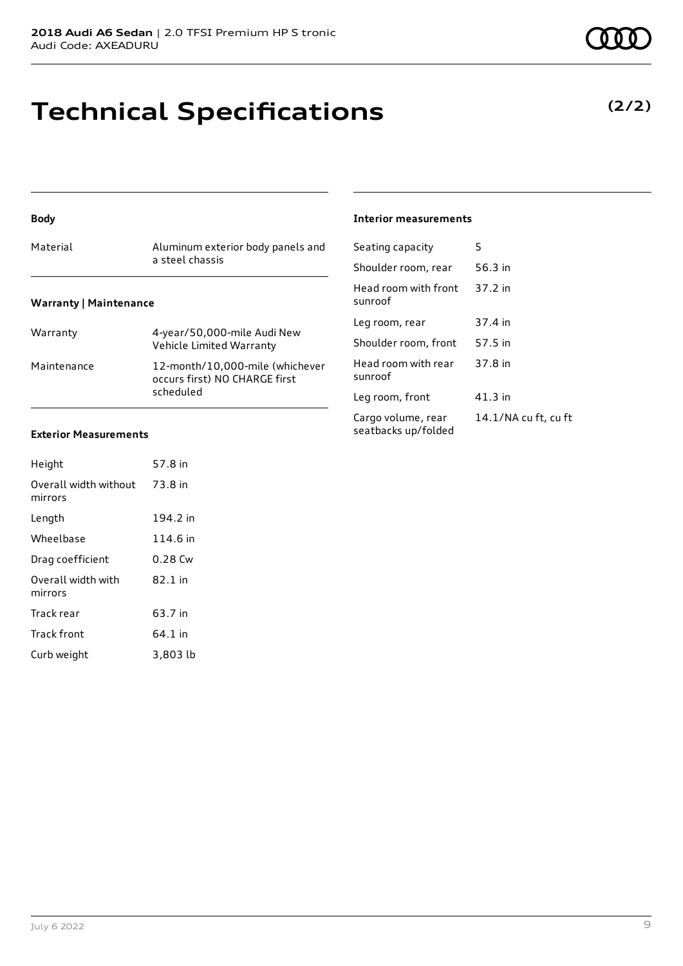### **Technical Specifications**

**(2/2)**

### **Body**

| Material | Aluminum exterior body panels and<br>a steel chassis |
|----------|------------------------------------------------------|
|          |                                                      |

### **Warranty | Maintenance**

| Warranty    | 4-year/50,000-mile Audi New<br>Vehicle Limited Warranty                       |
|-------------|-------------------------------------------------------------------------------|
| Maintenance | 12-month/10,000-mile (whichever<br>occurs first) NO CHARGE first<br>scheduled |

### **Exterior Measurements**

| Height                           | 57.8 in   |
|----------------------------------|-----------|
| Overall width without<br>mirrors | 73.8 in   |
| Length                           | 194.2 in  |
| Wheelbase                        | 114.6 in  |
| Drag coefficient                 | 0.28 Cw   |
| Overall width with<br>mirrors    | $82.1$ in |
| Track rear                       | 63.7 in   |
| Track front                      | 64.1 in   |
| Curb weight                      | 3,803 lb  |

### **Interior measurements**

| Seating capacity                          | 5                    |
|-------------------------------------------|----------------------|
| Shoulder room, rear                       | 56.3 in              |
| Head room with front<br>sunroof           | 37.2 in              |
| Leg room, rear                            | 37.4 in              |
| Shoulder room, front                      | 57.5 in              |
| Head room with rear<br>sunroof            | 37.8 in              |
| Leg room, front                           | 41.3 in              |
| Cargo volume, rear<br>seatbacks up/folded | 14.1/NA cu ft, cu ft |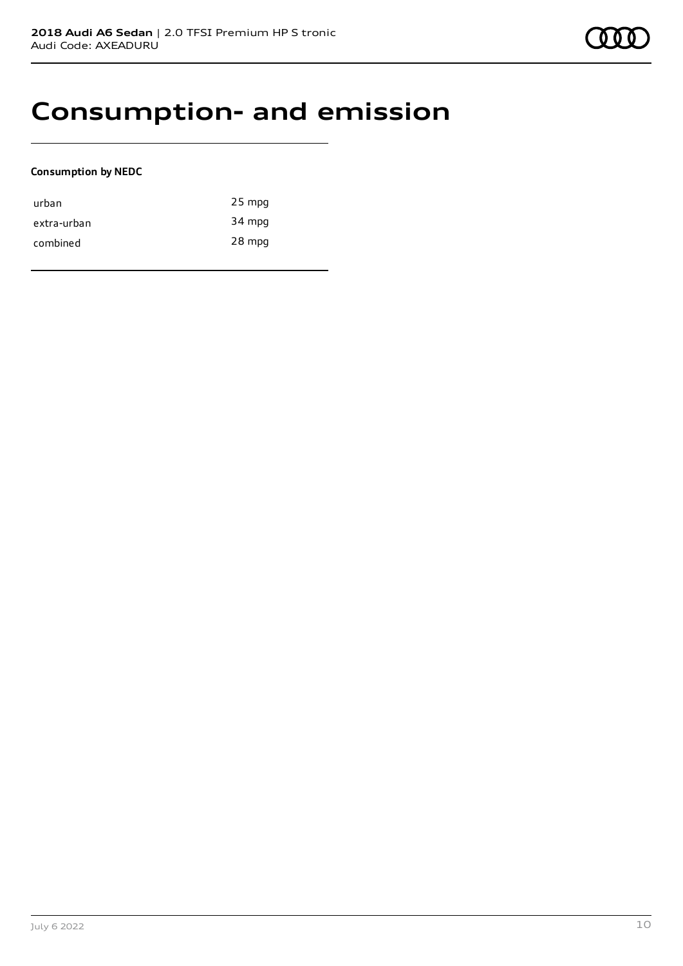### **Consumption- and emission**

### **Consumption by NEDC**

| urban       | $25$ mpg |
|-------------|----------|
| extra-urban | 34 mpg   |
| combined    | 28 mpg   |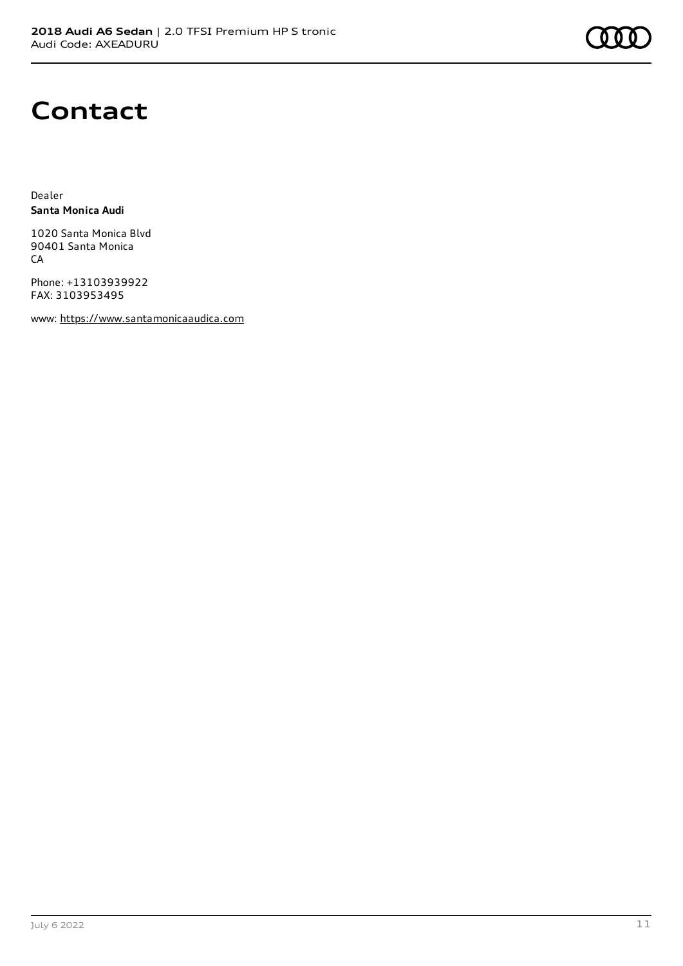

### **Contact**

Dealer **Santa Monica Audi**

1020 Santa Monica Blvd 90401 Santa Monica **CA** 

Phone: +13103939922 FAX: 3103953495

www: [https://www.santamonicaaudica.com](https://www.santamonicaaudica.com/)